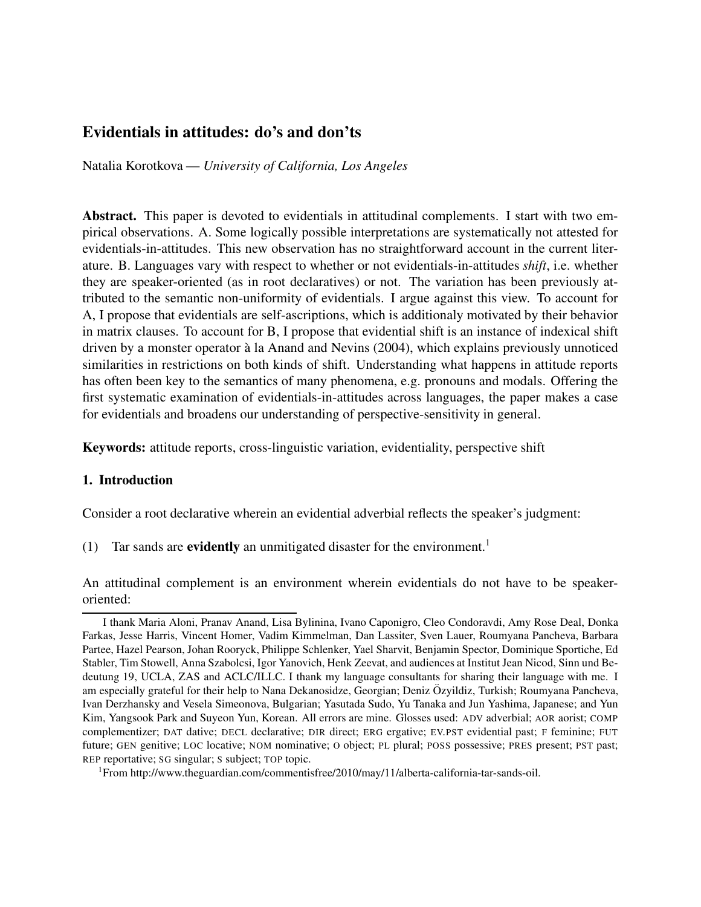# Evidentials in attitudes: do's and don'ts

Natalia Korotkova — *University of California, Los Angeles*

Abstract. This paper is devoted to evidentials in attitudinal complements. I start with two empirical observations. A. Some logically possible interpretations are systematically not attested for evidentials-in-attitudes. This new observation has no straightforward account in the current literature. B. Languages vary with respect to whether or not evidentials-in-attitudes *shift*, i.e. whether they are speaker-oriented (as in root declaratives) or not. The variation has been previously attributed to the semantic non-uniformity of evidentials. I argue against this view. To account for A, I propose that evidentials are self-ascriptions, which is additionaly motivated by their behavior in matrix clauses. To account for B, I propose that evidential shift is an instance of indexical shift driven by a monster operator à la Anand and Nevins (2004), which explains previously unnoticed similarities in restrictions on both kinds of shift. Understanding what happens in attitude reports has often been key to the semantics of many phenomena, e.g. pronouns and modals. Offering the first systematic examination of evidentials-in-attitudes across languages, the paper makes a case for evidentials and broadens our understanding of perspective-sensitivity in general.

Keywords: attitude reports, cross-linguistic variation, evidentiality, perspective shift

#### 1. Introduction

Consider a root declarative wherein an evidential adverbial reflects the speaker's judgment:

(1) Tar sands are **evidently** an unmitigated disaster for the environment.<sup>1</sup>

An attitudinal complement is an environment wherein evidentials do not have to be speakeroriented:

I thank Maria Aloni, Pranav Anand, Lisa Bylinina, Ivano Caponigro, Cleo Condoravdi, Amy Rose Deal, Donka Farkas, Jesse Harris, Vincent Homer, Vadim Kimmelman, Dan Lassiter, Sven Lauer, Roumyana Pancheva, Barbara Partee, Hazel Pearson, Johan Rooryck, Philippe Schlenker, Yael Sharvit, Benjamin Spector, Dominique Sportiche, Ed Stabler, Tim Stowell, Anna Szabolcsi, Igor Yanovich, Henk Zeevat, and audiences at Institut Jean Nicod, Sinn und Bedeutung 19, UCLA, ZAS and ACLC/ILLC. I thank my language consultants for sharing their language with me. I am especially grateful for their help to Nana Dekanosidze, Georgian; Deniz Özyildiz, Turkish; Roumyana Pancheva, Ivan Derzhansky and Vesela Simeonova, Bulgarian; Yasutada Sudo, Yu Tanaka and Jun Yashima, Japanese; and Yun Kim, Yangsook Park and Suyeon Yun, Korean. All errors are mine. Glosses used: ADV adverbial; AOR aorist; COMP complementizer; DAT dative; DECL declarative; DIR direct; ERG ergative; EV.PST evidential past; F feminine; FUT future; GEN genitive; LOC locative; NOM nominative; O object; PL plural; POSS possessive; PRES present; PST past; REP reportative; SG singular; S subject; TOP topic.

<sup>1</sup>From http://www.theguardian.com/commentisfree/2010/may/11/alberta-california-tar-sands-oil.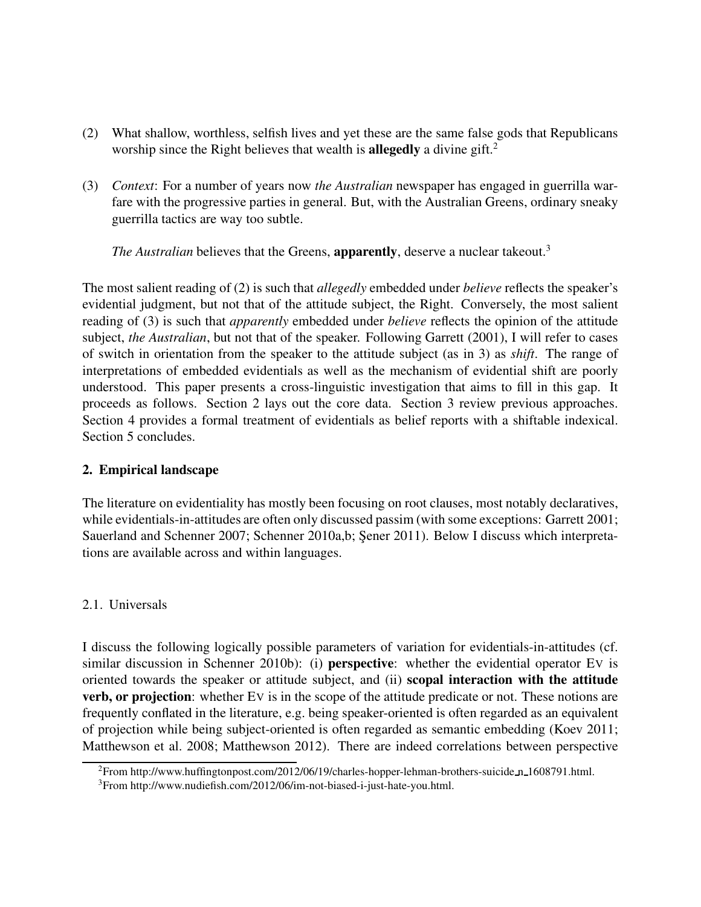- (2) What shallow, worthless, selfish lives and yet these are the same false gods that Republicans worship since the Right believes that wealth is **allegedly** a divine gift.<sup>2</sup>
- (3) *Context*: For a number of years now *the Australian* newspaper has engaged in guerrilla warfare with the progressive parties in general. But, with the Australian Greens, ordinary sneaky guerrilla tactics are way too subtle.

*The Australian* believes that the Greens, **apparently**, deserve a nuclear takeout.<sup>3</sup>

The most salient reading of (2) is such that *allegedly* embedded under *believe* reflects the speaker's evidential judgment, but not that of the attitude subject, the Right. Conversely, the most salient reading of (3) is such that *apparently* embedded under *believe* reflects the opinion of the attitude subject, *the Australian*, but not that of the speaker. Following Garrett (2001), I will refer to cases of switch in orientation from the speaker to the attitude subject (as in 3) as *shift*. The range of interpretations of embedded evidentials as well as the mechanism of evidential shift are poorly understood. This paper presents a cross-linguistic investigation that aims to fill in this gap. It proceeds as follows. Section 2 lays out the core data. Section 3 review previous approaches. Section 4 provides a formal treatment of evidentials as belief reports with a shiftable indexical. Section 5 concludes.

### 2. Empirical landscape

The literature on evidentiality has mostly been focusing on root clauses, most notably declaratives, while evidentials-in-attitudes are often only discussed passim (with some exceptions: Garrett 2001; Sauerland and Schenner 2007; Schenner 2010a,b; Sener 2011). Below I discuss which interpretations are available across and within languages.

## 2.1. Universals

I discuss the following logically possible parameters of variation for evidentials-in-attitudes (cf. similar discussion in Schenner 2010b): (i) **perspective**: whether the evidential operator EV is oriented towards the speaker or attitude subject, and (ii) scopal interaction with the attitude verb, or projection: whether EV is in the scope of the attitude predicate or not. These notions are frequently conflated in the literature, e.g. being speaker-oriented is often regarded as an equivalent of projection while being subject-oriented is often regarded as semantic embedding (Koev 2011; Matthewson et al. 2008; Matthewson 2012). There are indeed correlations between perspective

<sup>2</sup>From http://www.huffingtonpost.com/2012/06/19/charles-hopper-lehman-brothers-suicide n 1608791.html.

<sup>3</sup>From http://www.nudiefish.com/2012/06/im-not-biased-i-just-hate-you.html.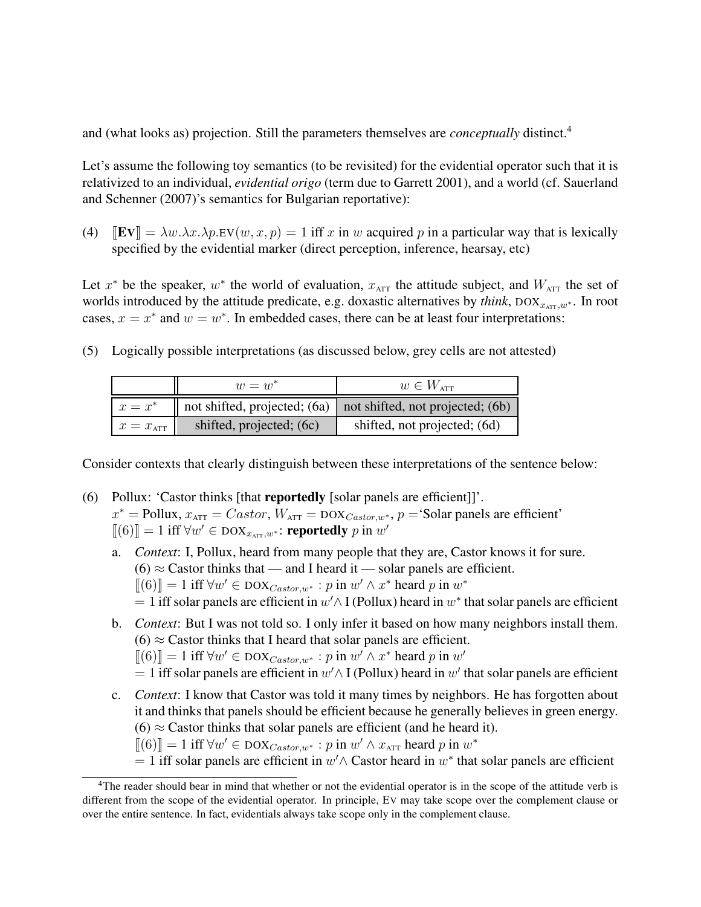and (what looks as) projection. Still the parameters themselves are *conceptually* distinct.<sup>4</sup>

Let's assume the following toy semantics (to be revisited) for the evidential operator such that it is relativized to an individual, *evidential origo* (term due to Garrett 2001), and a world (cf. Sauerland and Schenner (2007)'s semantics for Bulgarian reportative):

(4)  $\mathbb{E}[\mathbf{Fv}] = \lambda w \cdot \lambda x \cdot \lambda p \cdot \mathbf{Fv}(w, x, p) = 1$  iff x in w acquired p in a particular way that is lexically specified by the evidential marker (direct perception, inference, hearsay, etc)

Let  $x^*$  be the speaker,  $w^*$  the world of evaluation,  $x_{\text{ATT}}$  the attitude subject, and  $W_{\text{ATT}}$  the set of worlds introduced by the attitude predicate, e.g. doxastic alternatives by *think*,  $DOX_{x_{\text{ATT}}}, w^*$ . In root cases,  $x = x^*$  and  $w = w^*$ . In embedded cases, there can be at least four interpretations:

(5) Logically possible interpretations (as discussed below, grey cells are not attested)

|                      | $w = w^*$                                                | $w \in W$ <sub>ATT</sub>                                                              |
|----------------------|----------------------------------------------------------|---------------------------------------------------------------------------------------|
| $x = x^*$            |                                                          | $\parallel$ not shifted, projected; (6a) $\parallel$ not shifted, not projected; (6b) |
| $x = x_{\text{ATT}}$ | shifted, projected; (6c)<br>shifted, not projected; (6d) |                                                                                       |

Consider contexts that clearly distinguish between these interpretations of the sentence below:

- (6) Pollux: 'Castor thinks [that reportedly [solar panels are efficient]]'.  $x^*$  = Pollux,  $x_{\text{ATT}} = Castor$ ,  $W_{\text{ATT}} = \text{DOX}_{Castor,w^*}$ ,  $p = \text{Solar panels are efficient'}$  $[[(6)]] = 1$  iff  $\forall w' \in \text{DOX}_{x_{\text{ATT}},w^*}$ : **reportedly** p in w'
	- a. *Context*: I, Pollux, heard from many people that they are, Castor knows it for sure.  $(6) \approx$  Castor thinks that — and I heard it — solar panels are efficient.  $[[(6)]] = 1$  iff  $\forall w' \in \text{DOX}_{\text{Castor},w^*} : p \text{ in } w' \wedge x^* \text{ heard } p \text{ in } w^*$  $= 1$  iff solar panels are efficient in  $w' \wedge I$  (Pollux) heard in  $w^*$  that solar panels are efficient
	- b. *Context*: But I was not told so. I only infer it based on how many neighbors install them.  $(6) \approx$  Castor thinks that I heard that solar panels are efficient.  $[[(6)]] = 1$  iff  $\forall w' \in \text{DOX}_{\text{Castor},w^*} : p \text{ in } w' \wedge x^* \text{ heard } p \text{ in } w'$  $= 1$  iff solar panels are efficient in  $w' \wedge I$  (Pollux) heard in  $w'$  that solar panels are efficient
	- c. *Context*: I know that Castor was told it many times by neighbors. He has forgotten about it and thinks that panels should be efficient because he generally believes in green energy.  $(6) \approx$  Castor thinks that solar panels are efficient (and he heard it).

 $[[(6)]] = 1$  iff  $\forall w' \in \text{DOX}_{\text{Castor},w^*} : p$  in  $w' \wedge x_{\text{ATT}}$  heard p in  $w^*$ 

 $= 1$  iff solar panels are efficient in  $w' \wedge$  Castor heard in  $w^*$  that solar panels are efficient

<sup>&</sup>lt;sup>4</sup>The reader should bear in mind that whether or not the evidential operator is in the scope of the attitude verb is different from the scope of the evidential operator. In principle, EV may take scope over the complement clause or over the entire sentence. In fact, evidentials always take scope only in the complement clause.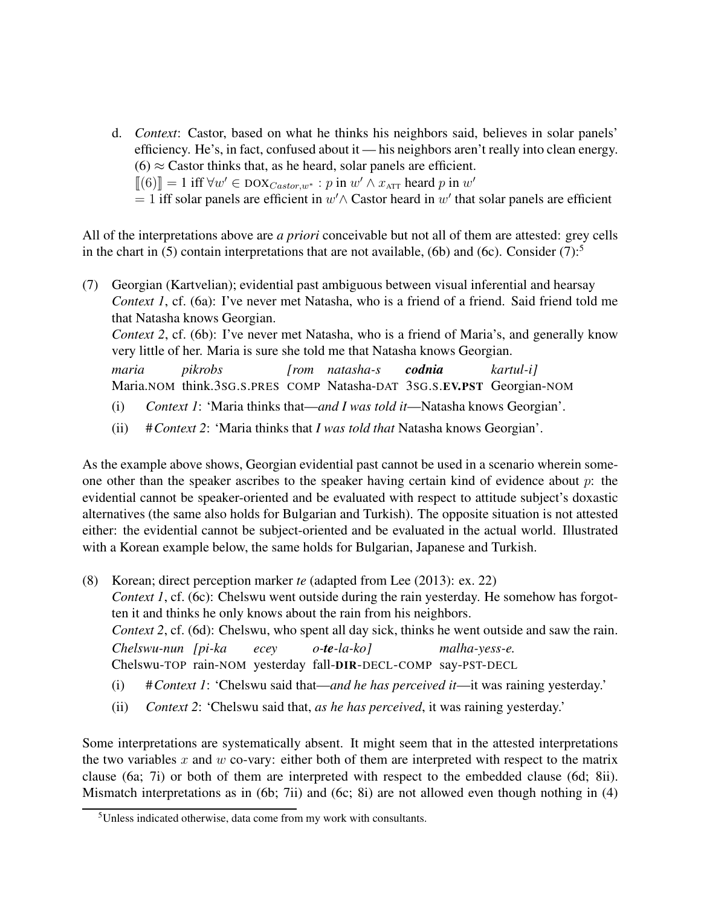- d. *Context*: Castor, based on what he thinks his neighbors said, believes in solar panels' efficiency. He's, in fact, confused about it — his neighbors aren't really into clean energy.  $(6) \approx$  Castor thinks that, as he heard, solar panels are efficient.  $[[(6)]] = 1$  iff  $\forall w' \in \text{DOX}_{\text{Castor},w^*} : p$  in  $w' \wedge x_{\text{ATT}}$  heard p in  $w'$ 
	- $= 1$  iff solar panels are efficient in  $w' \wedge$  Castor heard in  $w'$  that solar panels are efficient

All of the interpretations above are *a priori* conceivable but not all of them are attested: grey cells in the chart in (5) contain interpretations that are not available, (6b) and (6c). Consider (7):<sup>5</sup>

(7) Georgian (Kartvelian); evidential past ambiguous between visual inferential and hearsay *Context 1*, cf. (6a): I've never met Natasha, who is a friend of a friend. Said friend told me that Natasha knows Georgian. *Context 2*, cf. (6b): I've never met Natasha, who is a friend of Maria's, and generally know very little of her. Maria is sure she told me that Natasha knows Georgian. *maria* Maria.NOM think.3sG.S.PRES COMP Natasha-DAT 3SG.S.EV.PST Georgian-NOM *pikrobs [rom natasha-s codnia kartul-i]* (i) *Context 1*: 'Maria thinks that—*and I was told it*—Natasha knows Georgian'.

(ii) #*Context 2*: 'Maria thinks that *I was told that* Natasha knows Georgian'.

As the example above shows, Georgian evidential past cannot be used in a scenario wherein someone other than the speaker ascribes to the speaker having certain kind of evidence about  $p$ : the evidential cannot be speaker-oriented and be evaluated with respect to attitude subject's doxastic alternatives (the same also holds for Bulgarian and Turkish). The opposite situation is not attested either: the evidential cannot be subject-oriented and be evaluated in the actual world. Illustrated with a Korean example below, the same holds for Bulgarian, Japanese and Turkish.

- (8) Korean; direct perception marker *te* (adapted from Lee (2013): ex. 22) *Context 1*, cf. (6c): Chelswu went outside during the rain yesterday. He somehow has forgotten it and thinks he only knows about the rain from his neighbors. *Context 2*, cf. (6d): Chelswu, who spent all day sick, thinks he went outside and saw the rain. *Chelswu-nun [pi-ka* Chelswu-TOP rain-NOM yesterday fall-DIR-DECL-COMP say-PST-DECL *ecey o-te-la-ko] malha-yess-e.*
	- (i) #*Context 1*: 'Chelswu said that—*and he has perceived it*—it was raining yesterday.'
	- (ii) *Context 2*: 'Chelswu said that, *as he has perceived*, it was raining yesterday.'

Some interpretations are systematically absent. It might seem that in the attested interpretations the two variables  $x$  and  $w$  co-vary: either both of them are interpreted with respect to the matrix clause (6a; 7i) or both of them are interpreted with respect to the embedded clause (6d; 8ii). Mismatch interpretations as in (6b; 7ii) and (6c; 8i) are not allowed even though nothing in (4)

<sup>5</sup>Unless indicated otherwise, data come from my work with consultants.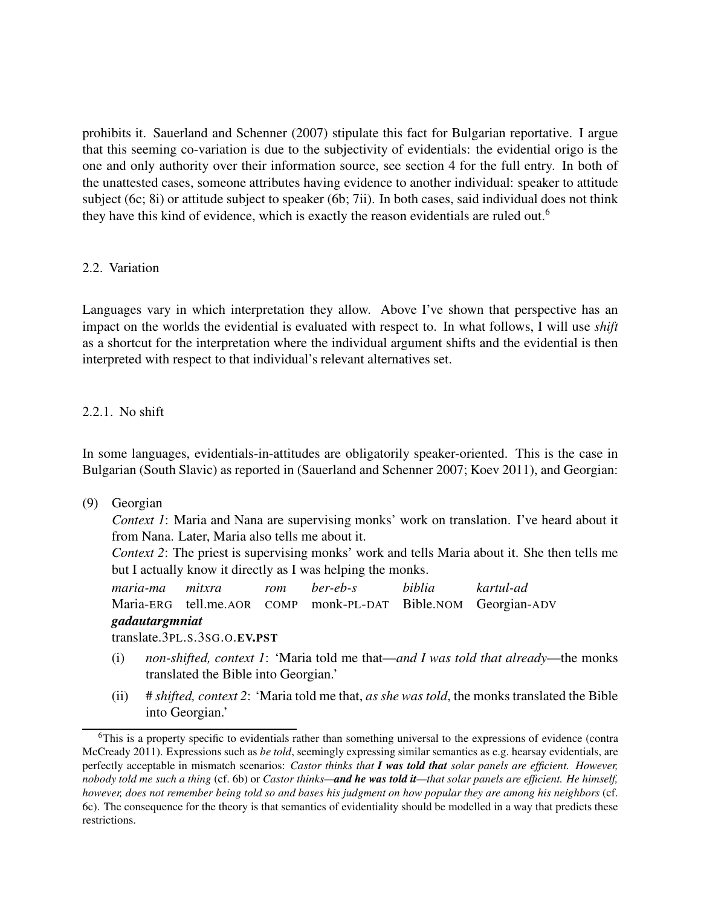prohibits it. Sauerland and Schenner (2007) stipulate this fact for Bulgarian reportative. I argue that this seeming co-variation is due to the subjectivity of evidentials: the evidential origo is the one and only authority over their information source, see section 4 for the full entry. In both of the unattested cases, someone attributes having evidence to another individual: speaker to attitude subject (6c; 8i) or attitude subject to speaker (6b; 7ii). In both cases, said individual does not think they have this kind of evidence, which is exactly the reason evidentials are ruled out.<sup>6</sup>

### 2.2. Variation

Languages vary in which interpretation they allow. Above I've shown that perspective has an impact on the worlds the evidential is evaluated with respect to. In what follows, I will use *shift* as a shortcut for the interpretation where the individual argument shifts and the evidential is then interpreted with respect to that individual's relevant alternatives set.

### 2.2.1. No shift

In some languages, evidentials-in-attitudes are obligatorily speaker-oriented. This is the case in Bulgarian (South Slavic) as reported in (Sauerland and Schenner 2007; Koev 2011), and Georgian:

(9) Georgian

*Context 1*: Maria and Nana are supervising monks' work on translation. I've heard about it from Nana. Later, Maria also tells me about it.

*Context 2*: The priest is supervising monks' work and tells Maria about it. She then tells me but I actually know it directly as I was helping the monks.

*maria-ma* Maria-ERG tell.me.AOR COMP monk-PL-DAT Bible.NOM Georgian-ADV *mitxra rom ber-eb-s biblia kartul-ad gadautargmniat*

translate.3PL.S.3SG.O.EV.PST

- (i) *non-shifted, context 1*: 'Maria told me that—*and I was told that already*—the monks translated the Bible into Georgian.'
- (ii) # *shifted, context 2*: 'Maria told me that, *as she was told*, the monks translated the Bible into Georgian.'

 $6$ This is a property specific to evidentials rather than something universal to the expressions of evidence (contra McCready 2011). Expressions such as *be told*, seemingly expressing similar semantics as e.g. hearsay evidentials, are perfectly acceptable in mismatch scenarios: *Castor thinks that I was told that solar panels are efficient. However, nobody told me such a thing* (cf. 6b) or *Castor thinks—and he was told it—that solar panels are efficient. He himself, however, does not remember being told so and bases his judgment on how popular they are among his neighbors* (cf. 6c). The consequence for the theory is that semantics of evidentiality should be modelled in a way that predicts these restrictions.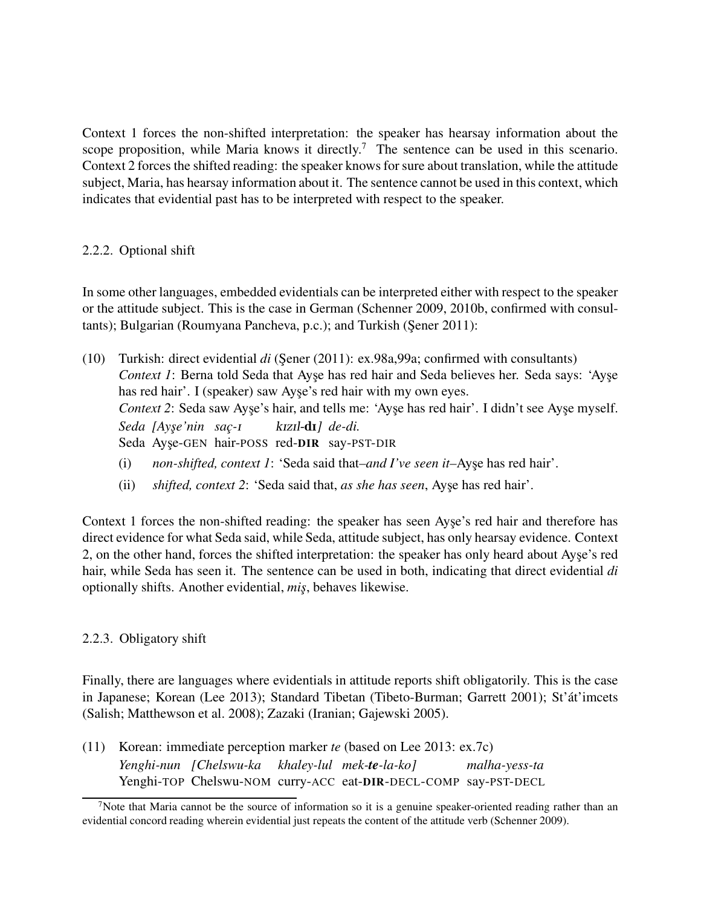Context 1 forces the non-shifted interpretation: the speaker has hearsay information about the scope proposition, while Maria knows it directly.<sup>7</sup> The sentence can be used in this scenario. Context 2 forces the shifted reading: the speaker knows for sure about translation, while the attitude subject, Maria, has hearsay information about it. The sentence cannot be used in this context, which indicates that evidential past has to be interpreted with respect to the speaker.

### 2.2.2. Optional shift

In some other languages, embedded evidentials can be interpreted either with respect to the speaker or the attitude subject. This is the case in German (Schenner 2009, 2010b, confirmed with consultants); Bulgarian (Roumyana Pancheva, p.c.); and Turkish (Şener 2011):

- (10) Turkish: direct evidential *di* (Sener (2011): ex.98a,99a; confirmed with consultants) *Context 1*: Berna told Seda that Ayse has red hair and Seda believes her. Seda says: 'Ayse has red hair'. I (speaker) saw Ayse's red hair with my own eyes. *Context 2*: Seda saw Ayse's hair, and tells me: 'Ayse has red hair'. I didn't see Ayse myself. *Seda [Ays¸e'nin sac¸-*I Seda Ayşe-GEN hair-POSS red-DIR say-PST-DIR kIzIl-dI*] de-di.*
	- (i) *non-shifted, context 1*: 'Seda said that–and I've seen it–Ayse has red hair'.
	- (ii) *shifted, context 2*: 'Seda said that, *as she has seen*, Ayse has red hair'.

Context 1 forces the non-shifted reading: the speaker has seen Ayse's red hair and therefore has direct evidence for what Seda said, while Seda, attitude subject, has only hearsay evidence. Context 2, on the other hand, forces the shifted interpretation: the speaker has only heard about Ayse's red hair, while Seda has seen it. The sentence can be used in both, indicating that direct evidential *di* optionally shifts. Another evidential, *mis¸*, behaves likewise.

## 2.2.3. Obligatory shift

Finally, there are languages where evidentials in attitude reports shift obligatorily. This is the case in Japanese; Korean (Lee 2013); Standard Tibetan (Tibeto-Burman; Garrett 2001); St'át'imcets (Salish; Matthewson et al. 2008); Zazaki (Iranian; Gajewski 2005).

(11) Korean: immediate perception marker *te* (based on Lee 2013: ex.7c) *Yenghi-nun [Chelswu-ka khaley-lul mek-te-la-ko]* Yenghi-TOP Chelswu-NOM curry-ACC eat-DIR-DECL-COMP say-PST-DECL *malha-yess-ta*

<sup>&</sup>lt;sup>7</sup>Note that Maria cannot be the source of information so it is a genuine speaker-oriented reading rather than an evidential concord reading wherein evidential just repeats the content of the attitude verb (Schenner 2009).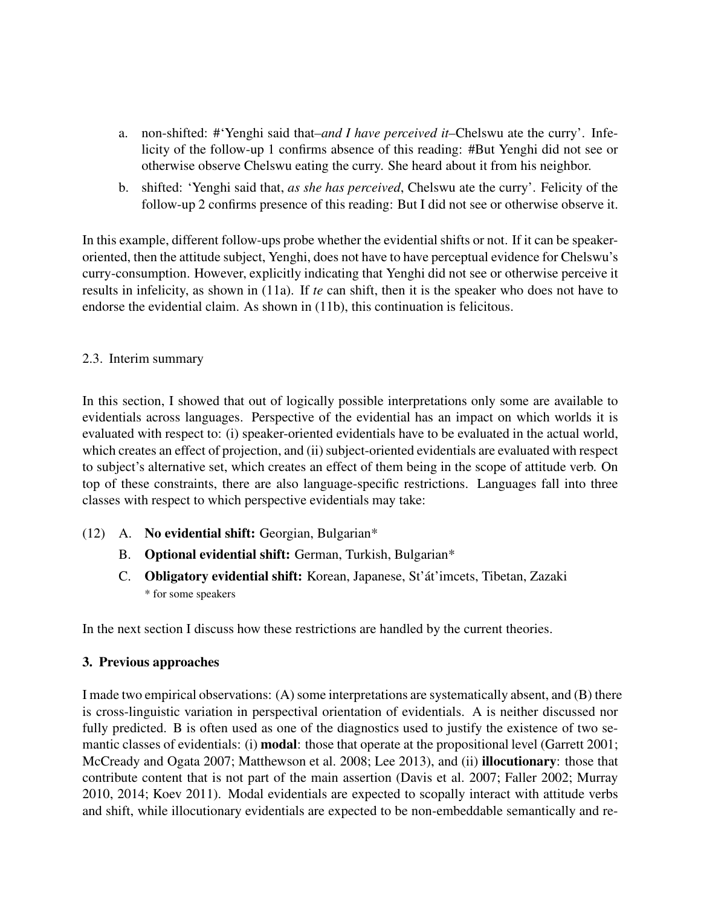- a. non-shifted: #'Yenghi said that*–and I have perceived it–*Chelswu ate the curry'. Infelicity of the follow-up 1 confirms absence of this reading: #But Yenghi did not see or otherwise observe Chelswu eating the curry. She heard about it from his neighbor.
- b. shifted: 'Yenghi said that, *as she has perceived*, Chelswu ate the curry'. Felicity of the follow-up 2 confirms presence of this reading: But I did not see or otherwise observe it.

In this example, different follow-ups probe whether the evidential shifts or not. If it can be speakeroriented, then the attitude subject, Yenghi, does not have to have perceptual evidence for Chelswu's curry-consumption. However, explicitly indicating that Yenghi did not see or otherwise perceive it results in infelicity, as shown in (11a). If *te* can shift, then it is the speaker who does not have to endorse the evidential claim. As shown in (11b), this continuation is felicitous.

### 2.3. Interim summary

In this section, I showed that out of logically possible interpretations only some are available to evidentials across languages. Perspective of the evidential has an impact on which worlds it is evaluated with respect to: (i) speaker-oriented evidentials have to be evaluated in the actual world, which creates an effect of projection, and (ii) subject-oriented evidentials are evaluated with respect to subject's alternative set, which creates an effect of them being in the scope of attitude verb. On top of these constraints, there are also language-specific restrictions. Languages fall into three classes with respect to which perspective evidentials may take:

- (12) A. No evidential shift: Georgian, Bulgarian\*
	- B. Optional evidential shift: German, Turkish, Bulgarian\*
	- C. Obligatory evidential shift: Korean, Japanese, St'át'imcets, Tibetan, Zazaki \* for some speakers

In the next section I discuss how these restrictions are handled by the current theories.

## 3. Previous approaches

I made two empirical observations: (A) some interpretations are systematically absent, and (B) there is cross-linguistic variation in perspectival orientation of evidentials. A is neither discussed nor fully predicted. B is often used as one of the diagnostics used to justify the existence of two semantic classes of evidentials: (i) **modal**: those that operate at the propositional level (Garrett 2001; McCready and Ogata 2007; Matthewson et al. 2008; Lee 2013), and (ii) illocutionary: those that contribute content that is not part of the main assertion (Davis et al. 2007; Faller 2002; Murray 2010, 2014; Koev 2011). Modal evidentials are expected to scopally interact with attitude verbs and shift, while illocutionary evidentials are expected to be non-embeddable semantically and re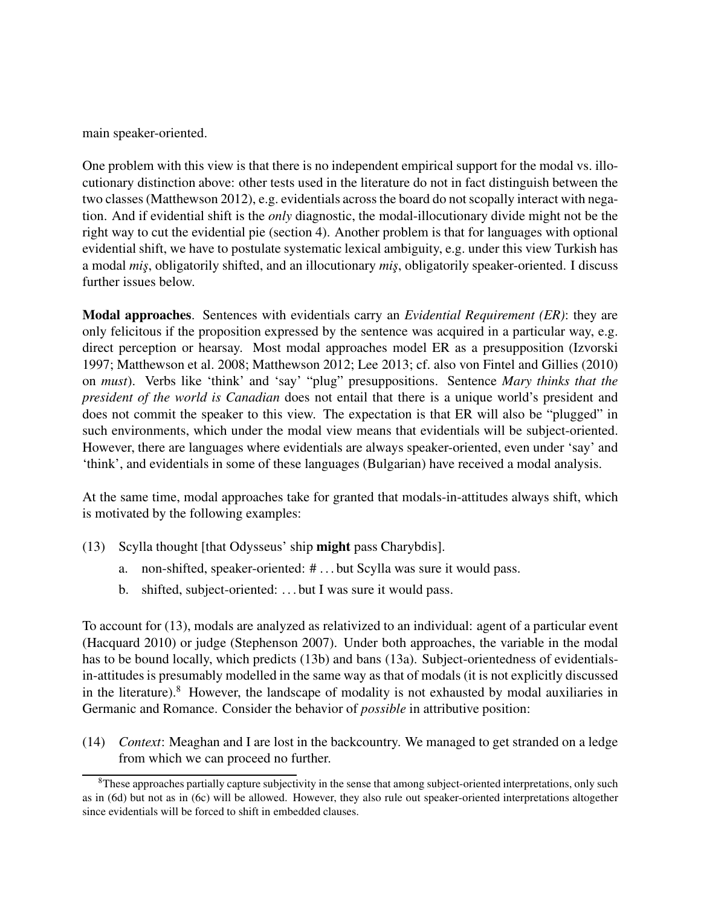main speaker-oriented.

One problem with this view is that there is no independent empirical support for the modal vs. illocutionary distinction above: other tests used in the literature do not in fact distinguish between the two classes (Matthewson 2012), e.g. evidentials across the board do not scopally interact with negation. And if evidential shift is the *only* diagnostic, the modal-illocutionary divide might not be the right way to cut the evidential pie (section 4). Another problem is that for languages with optional evidential shift, we have to postulate systematic lexical ambiguity, e.g. under this view Turkish has a modal *mis¸*, obligatorily shifted, and an illocutionary *mis¸*, obligatorily speaker-oriented. I discuss further issues below.

Modal approaches. Sentences with evidentials carry an *Evidential Requirement (ER)*: they are only felicitous if the proposition expressed by the sentence was acquired in a particular way, e.g. direct perception or hearsay. Most modal approaches model ER as a presupposition (Izvorski 1997; Matthewson et al. 2008; Matthewson 2012; Lee 2013; cf. also von Fintel and Gillies (2010) on *must*). Verbs like 'think' and 'say' "plug" presuppositions. Sentence *Mary thinks that the president of the world is Canadian* does not entail that there is a unique world's president and does not commit the speaker to this view. The expectation is that ER will also be "plugged" in such environments, which under the modal view means that evidentials will be subject-oriented. However, there are languages where evidentials are always speaker-oriented, even under 'say' and 'think', and evidentials in some of these languages (Bulgarian) have received a modal analysis.

At the same time, modal approaches take for granted that modals-in-attitudes always shift, which is motivated by the following examples:

- (13) Scylla thought [that Odysseus' ship might pass Charybdis].
	- a. non-shifted, speaker-oriented: # . . . but Scylla was sure it would pass.
	- b. shifted, subject-oriented: . . . but I was sure it would pass.

To account for (13), modals are analyzed as relativized to an individual: agent of a particular event (Hacquard 2010) or judge (Stephenson 2007). Under both approaches, the variable in the modal has to be bound locally, which predicts (13b) and bans (13a). Subject-orientedness of evidentialsin-attitudes is presumably modelled in the same way as that of modals (it is not explicitly discussed in the literature).<sup>8</sup> However, the landscape of modality is not exhausted by modal auxiliaries in Germanic and Romance. Consider the behavior of *possible* in attributive position:

(14) *Context*: Meaghan and I are lost in the backcountry. We managed to get stranded on a ledge from which we can proceed no further.

<sup>&</sup>lt;sup>8</sup>These approaches partially capture subjectivity in the sense that among subject-oriented interpretations, only such as in (6d) but not as in (6c) will be allowed. However, they also rule out speaker-oriented interpretations altogether since evidentials will be forced to shift in embedded clauses.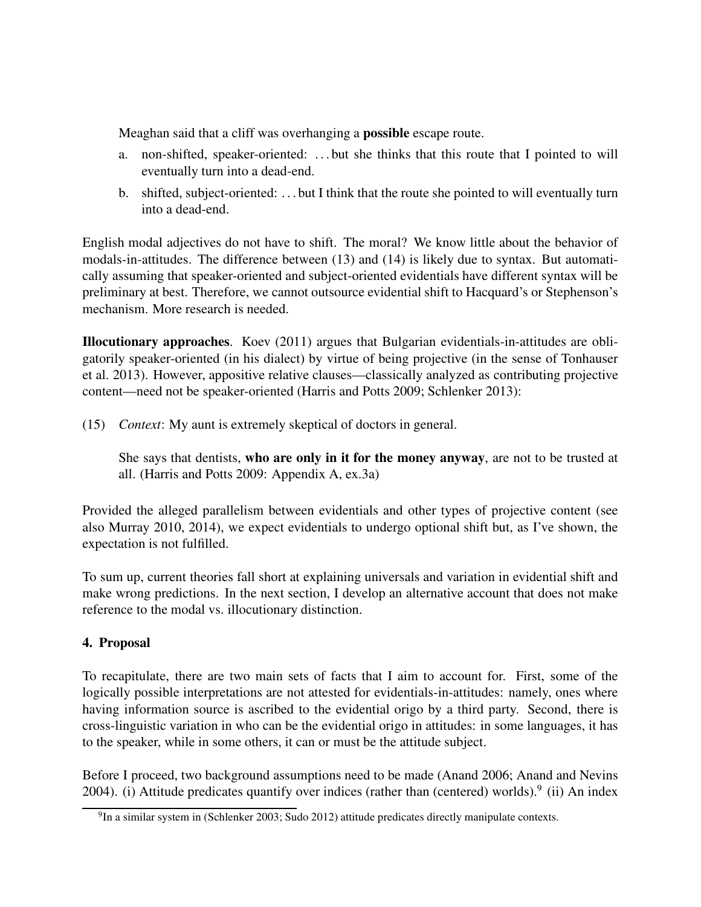Meaghan said that a cliff was overhanging a **possible** escape route.

- a. non-shifted, speaker-oriented: . . . but she thinks that this route that I pointed to will eventually turn into a dead-end.
- b. shifted, subject-oriented: . . . but I think that the route she pointed to will eventually turn into a dead-end.

English modal adjectives do not have to shift. The moral? We know little about the behavior of modals-in-attitudes. The difference between (13) and (14) is likely due to syntax. But automatically assuming that speaker-oriented and subject-oriented evidentials have different syntax will be preliminary at best. Therefore, we cannot outsource evidential shift to Hacquard's or Stephenson's mechanism. More research is needed.

Illocutionary approaches. Koev (2011) argues that Bulgarian evidentials-in-attitudes are obligatorily speaker-oriented (in his dialect) by virtue of being projective (in the sense of Tonhauser et al. 2013). However, appositive relative clauses—classically analyzed as contributing projective content—need not be speaker-oriented (Harris and Potts 2009; Schlenker 2013):

(15) *Context*: My aunt is extremely skeptical of doctors in general.

She says that dentists, who are only in it for the money anyway, are not to be trusted at all. (Harris and Potts 2009: Appendix A, ex.3a)

Provided the alleged parallelism between evidentials and other types of projective content (see also Murray 2010, 2014), we expect evidentials to undergo optional shift but, as I've shown, the expectation is not fulfilled.

To sum up, current theories fall short at explaining universals and variation in evidential shift and make wrong predictions. In the next section, I develop an alternative account that does not make reference to the modal vs. illocutionary distinction.

## 4. Proposal

To recapitulate, there are two main sets of facts that I aim to account for. First, some of the logically possible interpretations are not attested for evidentials-in-attitudes: namely, ones where having information source is ascribed to the evidential origo by a third party. Second, there is cross-linguistic variation in who can be the evidential origo in attitudes: in some languages, it has to the speaker, while in some others, it can or must be the attitude subject.

Before I proceed, two background assumptions need to be made (Anand 2006; Anand and Nevins 2004). (i) Attitude predicates quantify over indices (rather than (centered) worlds).<sup>9</sup> (ii) An index

 $^{9}$ In a similar system in (Schlenker 2003; Sudo 2012) attitude predicates directly manipulate contexts.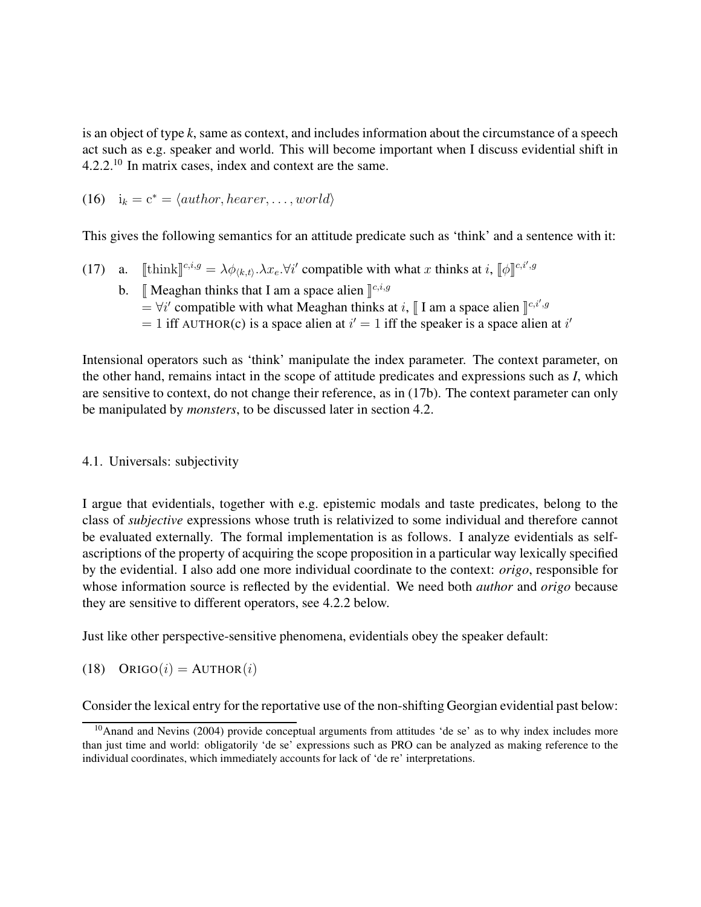is an object of type *k*, same as context, and includes information about the circumstance of a speech act such as e.g. speaker and world. This will become important when I discuss evidential shift in 4.2.2.<sup>10</sup> In matrix cases, index and context are the same.

(16) 
$$
i_k = c^* = \langle author, hearer, \ldots, world \rangle
$$

This gives the following semantics for an attitude predicate such as 'think' and a sentence with it:

- (17) a. [[think]<sup>[c,i,g</sup> =  $\lambda \phi_{k,t}$ ,  $\lambda x_e$ .  $\forall i'$  compatible with what x thinks at i,  $[\![\phi]\!]^{c,i',g}$ 
	- b. [ Meaghan thinks that I am a space alien  $\int_{0}^{c,i,g}$  $\stackrel{\circ}{=}$   $\forall i'$  compatible with what Meaghan thinks at i, [I am a space alien  $\int_{0}^{c_i i', g}$ = 1 iff AUTHOR(c) is a space alien at  $i' = 1$  iff the speaker is a space alien at i'

Intensional operators such as 'think' manipulate the index parameter. The context parameter, on the other hand, remains intact in the scope of attitude predicates and expressions such as *I*, which are sensitive to context, do not change their reference, as in (17b). The context parameter can only be manipulated by *monsters*, to be discussed later in section 4.2.

### 4.1. Universals: subjectivity

I argue that evidentials, together with e.g. epistemic modals and taste predicates, belong to the class of *subjective* expressions whose truth is relativized to some individual and therefore cannot be evaluated externally. The formal implementation is as follows. I analyze evidentials as selfascriptions of the property of acquiring the scope proposition in a particular way lexically specified by the evidential. I also add one more individual coordinate to the context: *origo*, responsible for whose information source is reflected by the evidential. We need both *author* and *origo* because they are sensitive to different operators, see 4.2.2 below.

Just like other perspective-sensitive phenomena, evidentials obey the speaker default:

(18) ORIGO $(i)$  = AUTHOR $(i)$ 

Consider the lexical entry for the reportative use of the non-shifting Georgian evidential past below:

<sup>&</sup>lt;sup>10</sup>Anand and Nevins (2004) provide conceptual arguments from attitudes 'de se' as to why index includes more than just time and world: obligatorily 'de se' expressions such as PRO can be analyzed as making reference to the individual coordinates, which immediately accounts for lack of 'de re' interpretations.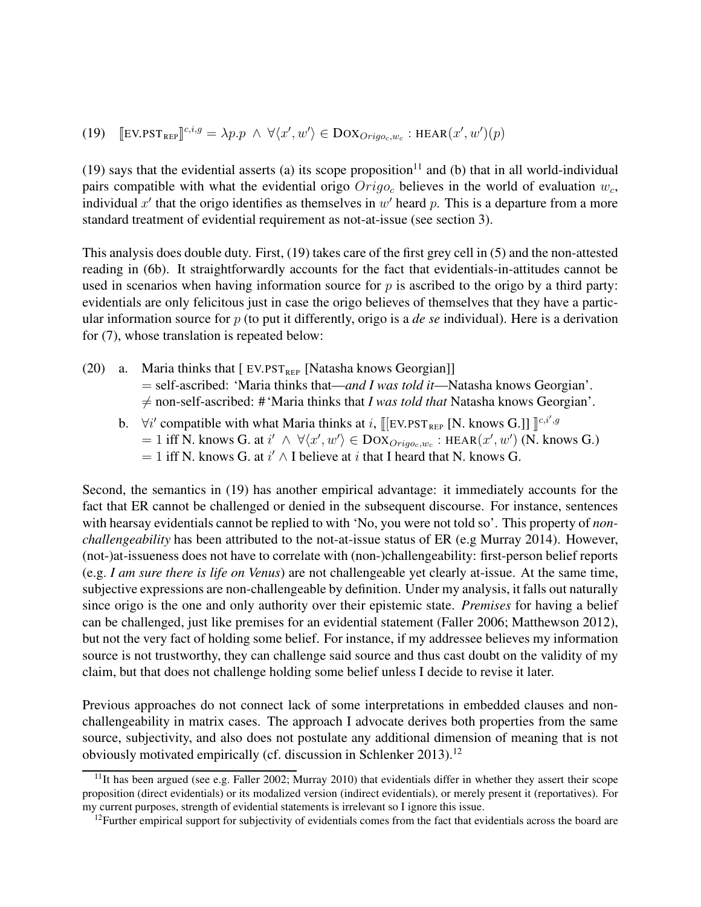(19) 
$$
[\mathbf{E} \mathbf{V} \cdot \mathbf{P} \mathbf{S} \mathbf{T}_{\text{REF}}]^{c,i,g} = \lambda p \cdot p \land \forall \langle x', w' \rangle \in \mathbf{D} \mathbf{O} \mathbf{X}_{\text{Origoc},w_c} : \mathbf{H} \mathbf{E} \mathbf{A} \mathbf{R}(x', w')(p)
$$

(19) says that the evidential asserts (a) its scope proposition<sup>11</sup> and (b) that in all world-individual pairs compatible with what the evidential origo  $Oriqo_c$  believes in the world of evaluation  $w_c$ , individual  $x'$  that the origo identifies as themselves in  $w'$  heard p. This is a departure from a more standard treatment of evidential requirement as not-at-issue (see section 3).

This analysis does double duty. First, (19) takes care of the first grey cell in (5) and the non-attested reading in (6b). It straightforwardly accounts for the fact that evidentials-in-attitudes cannot be used in scenarios when having information source for  $p$  is ascribed to the origo by a third party: evidentials are only felicitous just in case the origo believes of themselves that they have a particular information source for p (to put it differently, origo is a *de se* individual). Here is a derivation for (7), whose translation is repeated below:

- (20) a. Maria thinks that  $[EV.PST_{REF}$  [Natasha knows Georgian]] = self-ascribed: 'Maria thinks that—*and I was told it*—Natasha knows Georgian'.  $\neq$  non-self-ascribed: # 'Maria thinks that *I was told that* Natasha knows Georgian'.
	- b.  $\forall i'$  compatible with what Maria thinks at i, [[EV.PST<sub>REP</sub> [N. knows G.]]  $\int_{0}^{c_i i', g_j}$  $= 1$  iff N. knows G. at  $i' \wedge \forall \langle x', w' \rangle \in \text{DOX}_{Orig_{o_c}, w_c}$ : HEAR $(x', w')$  (N. knows G.)  $= 1$  iff N. knows G. at  $i' \wedge I$  believe at i that I heard that N. knows G.

Second, the semantics in (19) has another empirical advantage: it immediately accounts for the fact that ER cannot be challenged or denied in the subsequent discourse. For instance, sentences with hearsay evidentials cannot be replied to with 'No, you were not told so'. This property of *nonchallengeability* has been attributed to the not-at-issue status of ER (e.g Murray 2014). However, (not-)at-issueness does not have to correlate with (non-)challengeability: first-person belief reports (e.g. *I am sure there is life on Venus*) are not challengeable yet clearly at-issue. At the same time, subjective expressions are non-challengeable by definition. Under my analysis, it falls out naturally since origo is the one and only authority over their epistemic state. *Premises* for having a belief can be challenged, just like premises for an evidential statement (Faller 2006; Matthewson 2012), but not the very fact of holding some belief. For instance, if my addressee believes my information source is not trustworthy, they can challenge said source and thus cast doubt on the validity of my claim, but that does not challenge holding some belief unless I decide to revise it later.

Previous approaches do not connect lack of some interpretations in embedded clauses and nonchallengeability in matrix cases. The approach I advocate derives both properties from the same source, subjectivity, and also does not postulate any additional dimension of meaning that is not obviously motivated empirically (cf. discussion in Schlenker 2013).<sup>12</sup>

 $11$ It has been argued (see e.g. Faller 2002; Murray 2010) that evidentials differ in whether they assert their scope proposition (direct evidentials) or its modalized version (indirect evidentials), or merely present it (reportatives). For my current purposes, strength of evidential statements is irrelevant so I ignore this issue.

 $12$ Further empirical support for subjectivity of evidentials comes from the fact that evidentials across the board are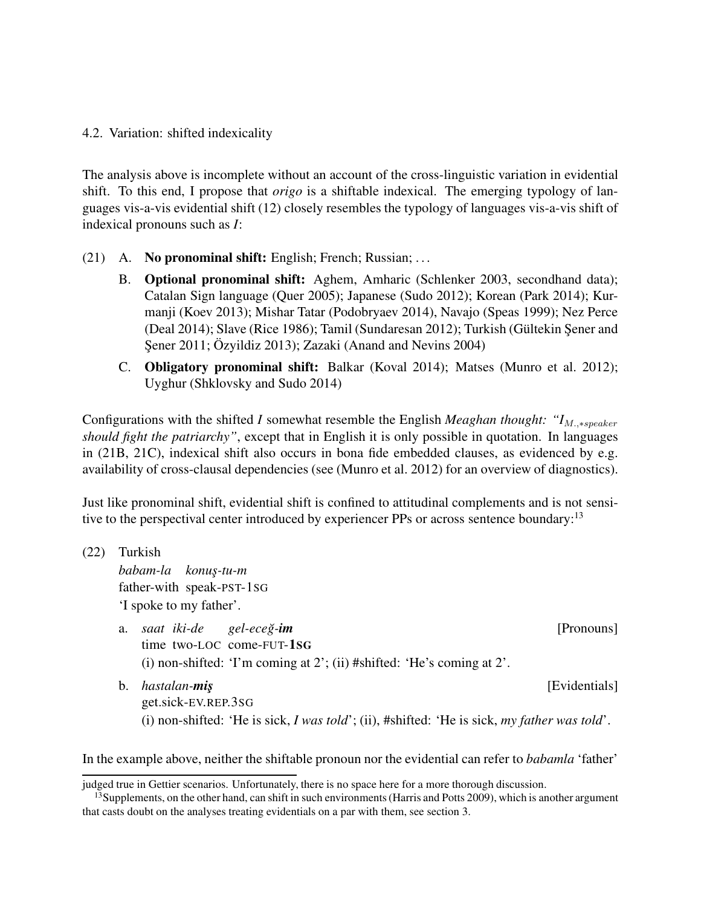#### 4.2. Variation: shifted indexicality

The analysis above is incomplete without an account of the cross-linguistic variation in evidential shift. To this end, I propose that *origo* is a shiftable indexical. The emerging typology of languages vis-a-vis evidential shift (12) closely resembles the typology of languages vis-a-vis shift of indexical pronouns such as *I*:

- (21) A. No pronominal shift: English; French; Russian; ...
	- B. Optional pronominal shift: Aghem, Amharic (Schlenker 2003, secondhand data); Catalan Sign language (Quer 2005); Japanese (Sudo 2012); Korean (Park 2014); Kurmanji (Koev 2013); Mishar Tatar (Podobryaev 2014), Navajo (Speas 1999); Nez Perce (Deal 2014); Slave (Rice 1986); Tamil (Sundaresan 2012); Turkish (Gültekin Sener and Sener 2011; Özyildiz 2013); Zazaki (Anand and Nevins 2004)
	- C. Obligatory pronominal shift: Balkar (Koval 2014); Matses (Munro et al. 2012); Uyghur (Shklovsky and Sudo 2014)

Configurations with the shifted *I* somewhat resemble the English *Meaghan thought:* " $I_{M_{\text{p}} \rightarrow \text{sp}}$ " *should fight the patriarchy"*, except that in English it is only possible in quotation. In languages in (21B, 21C), indexical shift also occurs in bona fide embedded clauses, as evidenced by e.g. availability of cross-clausal dependencies (see (Munro et al. 2012) for an overview of diagnostics).

Just like pronominal shift, evidential shift is confined to attitudinal complements and is not sensitive to the perspectival center introduced by experiencer PPs or across sentence boundary:<sup>13</sup>

| (22) | Turkish                 |                                                                                                                                             |               |  |  |
|------|-------------------------|---------------------------------------------------------------------------------------------------------------------------------------------|---------------|--|--|
|      | babam-la konuş-tu-m     |                                                                                                                                             |               |  |  |
|      |                         |                                                                                                                                             |               |  |  |
|      | 'I spoke to my father'. |                                                                                                                                             |               |  |  |
|      |                         | a. saat iki-de gel-eceğ-im<br>time two-LOC come-FUT-1SG<br>(i) non-shifted: 'I'm coming at 2'; (ii) #shifted: 'He's coming at $2'$ .        | [Pronouns]    |  |  |
|      | b.                      | hastalan- <b>miş</b><br>get.sick-EV.REP.3SG<br>(i) non-shifted: 'He is sick, I was told'; (ii), #shifted: 'He is sick, my father was told'. | [Evidentials] |  |  |

In the example above, neither the shiftable pronoun nor the evidential can refer to *babamla* 'father'

judged true in Gettier scenarios. Unfortunately, there is no space here for a more thorough discussion.

 $13$ Supplements, on the other hand, can shift in such environments (Harris and Potts 2009), which is another argument that casts doubt on the analyses treating evidentials on a par with them, see section 3.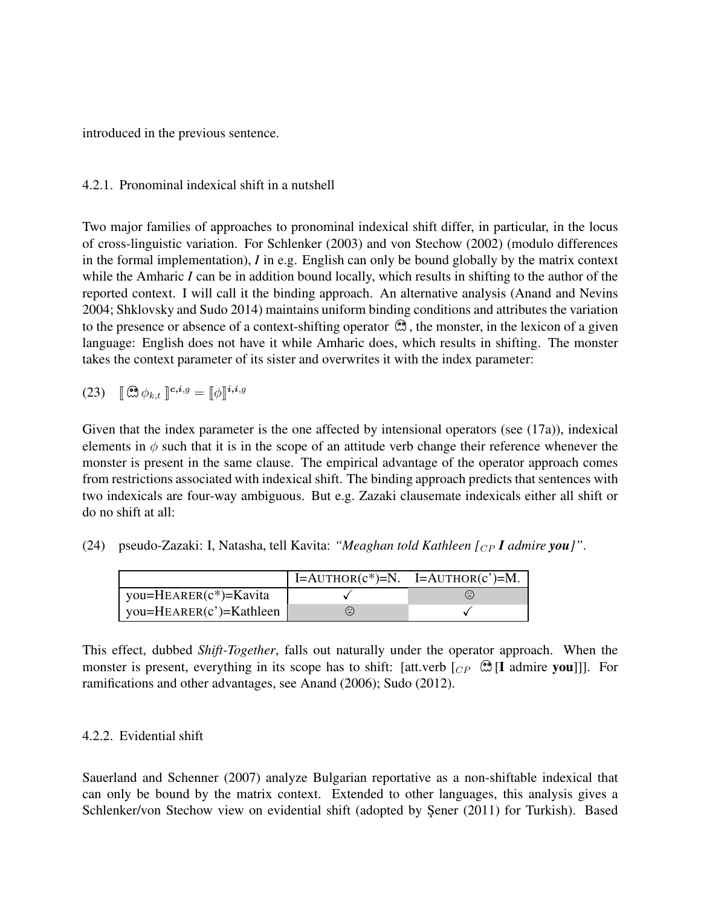introduced in the previous sentence.

4.2.1. Pronominal indexical shift in a nutshell

Two major families of approaches to pronominal indexical shift differ, in particular, in the locus of cross-linguistic variation. For Schlenker (2003) and von Stechow (2002) (modulo differences in the formal implementation), *I* in e.g. English can only be bound globally by the matrix context while the Amharic *I* can be in addition bound locally, which results in shifting to the author of the reported context. I will call it the binding approach. An alternative analysis (Anand and Nevins 2004; Shklovsky and Sudo 2014) maintains uniform binding conditions and attributes the variation to the presence or absence of a context-shifting operator  $\mathcal{A}$ , the monster, in the lexicon of a given language: English does not have it while Amharic does, which results in shifting. The monster takes the context parameter of its sister and overwrites it with the index parameter:

(23) 
$$
\mathbb{R} \otimes \phi_{k,t} \mathbb{L}^{c,i,g} = \mathbb{I} \phi \mathbb{I}^{i,i,g}
$$

Given that the index parameter is the one affected by intensional operators (see (17a)), indexical elements in  $\phi$  such that it is in the scope of an attitude verb change their reference whenever the monster is present in the same clause. The empirical advantage of the operator approach comes from restrictions associated with indexical shift. The binding approach predicts that sentences with two indexicals are four-way ambiguous. But e.g. Zazaki clausemate indexicals either all shift or do no shift at all:

|  | (24) pseudo-Zazaki: I, Natasha, tell Kavita: "Meaghan told Kathleen $[_{CP} I$ admire you]". |  |  |  |
|--|----------------------------------------------------------------------------------------------|--|--|--|
|--|----------------------------------------------------------------------------------------------|--|--|--|

|                               | $  I = AUTHOR(c*) = N. I = AUTHOR(c') = M.$ |              |
|-------------------------------|---------------------------------------------|--------------|
| you= $H_{EARER}(c^*)$ =Kavita |                                             | $(\because)$ |
| you= $HEARENT(c')$ =Kathleen  | $(\ddot{\bm{z}})$                           |              |

This effect, dubbed *Shift-Together*, falls out naturally under the operator approach. When the monster is present, everything in its scope has to shift: [att.verb  $\lceil_{CP} \mathcal{Q} \rceil$ ] admire you]]. For ramifications and other advantages, see Anand (2006); Sudo (2012).

### 4.2.2. Evidential shift

Sauerland and Schenner (2007) analyze Bulgarian reportative as a non-shiftable indexical that can only be bound by the matrix context. Extended to other languages, this analysis gives a Schlenker/von Stechow view on evidential shift (adopted by Şener (2011) for Turkish). Based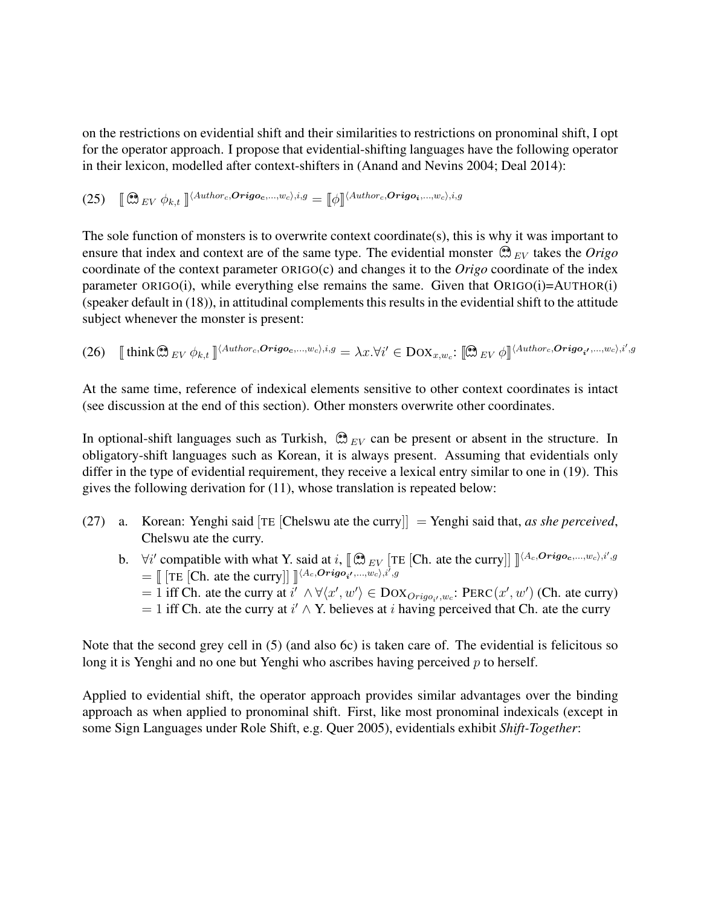on the restrictions on evidential shift and their similarities to restrictions on pronominal shift, I opt for the operator approach. I propose that evidential-shifting languages have the following operator in their lexicon, modelled after context-shifters in (Anand and Nevins 2004; Deal 2014):

(25) 
$$
\left[\begin{matrix} \bigotimes_{EV} \phi_{k,t} \end{matrix}\right]^{(Author_c, Origoc, ..., w_c), i, g} = \left[\begin{matrix} \phi \end{matrix}\right]^{(Author_c, Origoi, ..., w_c), i, g})
$$

The sole function of monsters is to overwrite context coordinate(s), this is why it was important to ensure that index and context are of the same type. The evidential monster  $\mathcal{R}_{EV}$  takes the *Origo* coordinate of the context parameter ORIGO(c) and changes it to the *Origo* coordinate of the index parameter  $ORIGO(i)$ , while everything else remains the same. Given that  $ORIGO(i)=AUTHOR(i)$ (speaker default in  $(18)$ ), in attitudinal complements this results in the evidential shift to the attitude subject whenever the monster is present:

(26) 
$$
\text{[think} \otimes_{EV} \phi_{k,t} \text{]}^{\langle \text{Author}_c, \text{Origoc}, \dots, w_c \rangle, i,g} = \lambda x. \forall i' \in \text{DOX}_{x,w_c}: \text{[0]} \forall x \in \text{POX}_{x,w_c} \forall x \in \text{POX}_{x,w_c} \forall x \in \text{POX}_{x,w_c} \forall x \in \text{POX}_{x,w_c} \forall x \in \text{POX}_{x,w_c} \forall x \in \text{POX}_{x,w_c} \forall x \in \text{POX}_{x,w_c} \forall x \in \text{POX}_{x,w_c} \forall x \in \text{POX}_{x,w_c} \forall x \in \text{POX}_{x,w_c} \forall x \in \text{POX}_{x,w_c} \forall x \in \text{POX}_{x,w_c} \forall x \in \text{POX}_{x,w_c} \forall x \in \text{POX}_{x,w_c} \forall x \in \text{POX}_{x,w_c} \forall x \in \text{POX}_{x,w_c} \forall x \in \text{POX}_{x,w_c} \forall x \in \text{POX}_{x,w_c} \forall x \in \text{POX}_{x,w_c} \forall x \in \text{POX}_{x,w_c} \forall x \in \text{POX}_{x,w_c} \forall x \in \text{POX}_{x,w_c} \forall x \in \text{POX}_{x,w_c} \forall x \in \text{POX}_{x,w_c} \forall x \in \text{POX}_{x,w_c} \forall x \in \text{POX}_{x,w_c} \forall x \in \text{POX}_{x,w_c} \forall x \in \text{POX}_{x,w_c} \forall x \in \text{POX}_{x,w_c} \forall x \in \text{POX}_{x,w_c} \forall x \in \text{POX}_{x,w_c} \forall x \in \text{POX}_{x,w_c} \forall x \in \text{POX}_{x,w_c} \forall x \in \text{POX}_{x,w_c} \forall x \in \text{POX}_{x,w_c} \forall x \in \text{POX}_{x,w_c} \forall x \in \text{POX}_{x,w_c} \forall x \in \text{POX}_{x,w_c} \forall x \in \text{POX}_{x,w_c} \forall x \in \text{POX}_{x,w_c} \forall x \in \text{POX}_{x,w_c} \forall x \in \text{POX}_{x,w_c} \forall x \in \text{POX}_{x,w_c} \forall x \in \text{POX}_{x,w_c} \forall x \in \text{POX}_{x,w_c} \forall x \in
$$

At the same time, reference of indexical elements sensitive to other context coordinates is intact (see discussion at the end of this section). Other monsters overwrite other coordinates.

In optional-shift languages such as Turkish,  $\mathcal{B}_{EV}$  can be present or absent in the structure. In obligatory-shift languages such as Korean, it is always present. Assuming that evidentials only differ in the type of evidential requirement, they receive a lexical entry similar to one in (19). This gives the following derivation for (11), whose translation is repeated below:

- (27) a. Korean: Yenghi said [TE [Chelswu ate the curry]] = Yenghi said that, *as she perceived*, Chelswu ate the curry.
	- b.  $\forall i'$  compatible with what Y. said at i,  $[\mathbb{Q}_{EV}$  [TE [Ch. ate the curry]]  $\int_{A_c}^{A_c}$   $Origo_c$ ,...,w<sub>c</sub>),i',g  $=\left[\right] [\text{TE} [\text{Ch. ate the curry}]] \right]^{(A_c, *Origo*<sub>i</sub>, ..., w_c), i', g)}$ 
		- = 1 iff Ch. ate the curry at  $i' \wedge \forall \langle x', w' \rangle \in \text{DoX}_{\text{Orig0}_i', w_c}: \text{PERC}(x', w')$  (Ch. ate curry)  $= 1$  iff Ch. ate the curry at  $i' \wedge Y$ . believes at i having perceived that Ch. ate the curry

Note that the second grey cell in (5) (and also 6c) is taken care of. The evidential is felicitous so long it is Yenghi and no one but Yenghi who ascribes having perceived  $p$  to herself.

Applied to evidential shift, the operator approach provides similar advantages over the binding approach as when applied to pronominal shift. First, like most pronominal indexicals (except in some Sign Languages under Role Shift, e.g. Quer 2005), evidentials exhibit *Shift-Together*: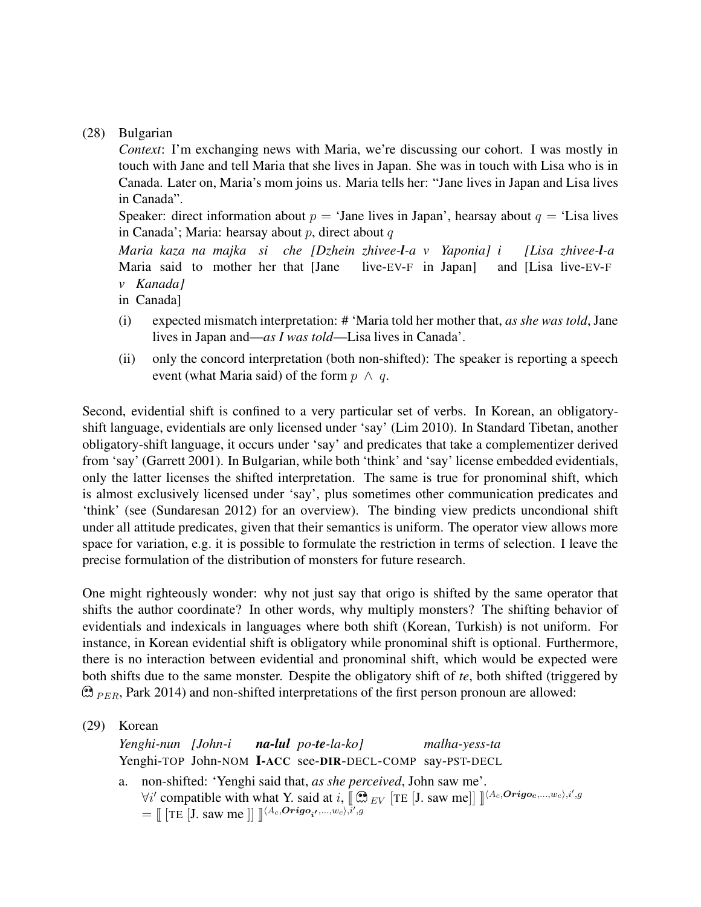#### (28) Bulgarian

*Context*: I'm exchanging news with Maria, we're discussing our cohort. I was mostly in touch with Jane and tell Maria that she lives in Japan. She was in touch with Lisa who is in Canada. Later on, Maria's mom joins us. Maria tells her: "Jane lives in Japan and Lisa lives in Canada".

Speaker: direct information about  $p = '$ Jane lives in Japan', hearsay about  $q = '$ Lisa lives in Canada'; Maria: hearsay about  $p$ , direct about  $q$ 

*Maria kaza na majka si che [Dzhein zhivee-l-a v Yaponia] i* Maria said to mother her that [Jane live-EV-F in Japan] and [Lisa live-EV-F *[Lisa zhivee-l-a v Kanada]*

in Canada]

- (i) expected mismatch interpretation: # 'Maria told her mother that, *as she was told*, Jane lives in Japan and—*as I was told*—Lisa lives in Canada'.
- (ii) only the concord interpretation (both non-shifted): The speaker is reporting a speech event (what Maria said) of the form  $p \wedge q$ .

Second, evidential shift is confined to a very particular set of verbs. In Korean, an obligatoryshift language, evidentials are only licensed under 'say' (Lim 2010). In Standard Tibetan, another obligatory-shift language, it occurs under 'say' and predicates that take a complementizer derived from 'say' (Garrett 2001). In Bulgarian, while both 'think' and 'say' license embedded evidentials, only the latter licenses the shifted interpretation. The same is true for pronominal shift, which is almost exclusively licensed under 'say', plus sometimes other communication predicates and 'think' (see (Sundaresan 2012) for an overview). The binding view predicts uncondional shift under all attitude predicates, given that their semantics is uniform. The operator view allows more space for variation, e.g. it is possible to formulate the restriction in terms of selection. I leave the precise formulation of the distribution of monsters for future research.

One might righteously wonder: why not just say that origo is shifted by the same operator that shifts the author coordinate? In other words, why multiply monsters? The shifting behavior of evidentials and indexicals in languages where both shift (Korean, Turkish) is not uniform. For instance, in Korean evidential shift is obligatory while pronominal shift is optional. Furthermore, there is no interaction between evidential and pronominal shift, which would be expected were both shifts due to the same monster. Despite the obligatory shift of *te*, both shifted (triggered by  $\mathcal{D}_{PER}$ , Park 2014) and non-shifted interpretations of the first person pronoun are allowed:

(29) Korean

*Yenghi-nun [John-i* Yenghi-TOP John-NOM I-ACC see-DIR-DECL-COMP say-PST-DECL *na-lul po-te-la-ko] malha-yess-ta*

a. non-shifted: 'Yenghi said that, *as she perceived*, John saw me'.  $\forall i'$  compatible with what Y. said at i,  $\left[\mathcal{B}_{EV}\left[\text{TE}\left[\text{J}. \text{ saw me}\right]\right]\right]^{(A_c, Origo_c, ..., w_c), i', g)}$  $=\llbracket [\text{TE}[\text{J. saw me}]] \rrbracket^{\langle A_c, Origo_{i'}, ..., w_c \rangle, i', g}$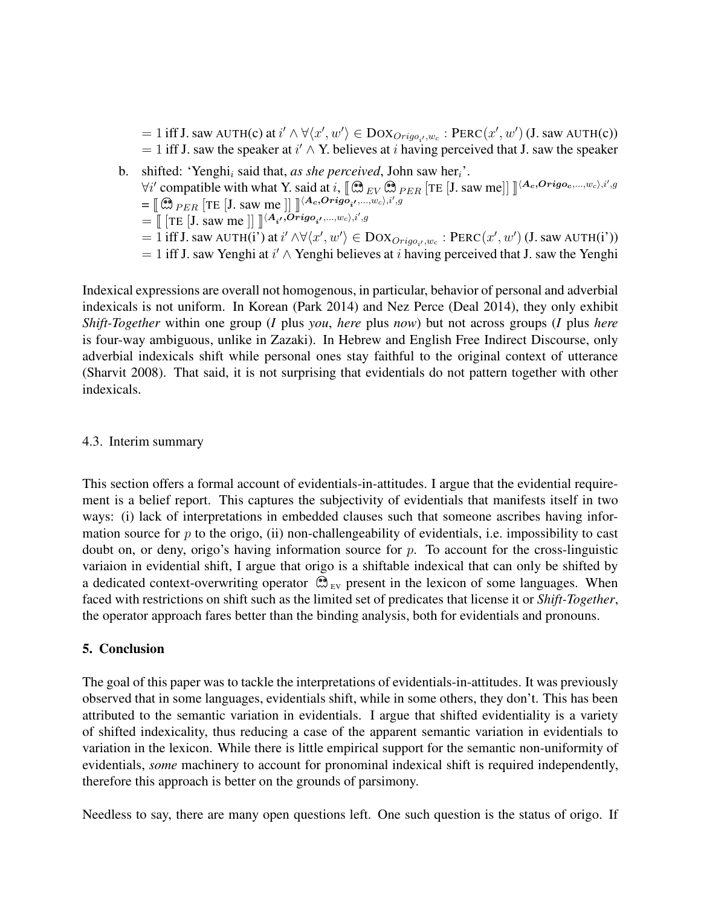$j = 1$  iff J. saw AUTH(c) at  $i' \wedge \forall \langle x', w' \rangle \in \text{DoX}_{Orig_{i'},w_{c}} : \text{PERC}(x', w')$  (J. saw AUTH(c))  $= 1$  iff J. saw the speaker at  $i' \wedge Y$ . believes at i having perceived that J. saw the speaker

b. shifted: 'Yenghi<sub>i</sub> said that, *as she perceived*, John saw her<sub>i</sub>'.  $\forall i'$  compatible with what Y. said at i,  $[\mathbb{C} \otimes_{EV} \mathbb{C} \otimes_{PER} [\text{TE} [J]$ . saw me]]  $]^{(A_c,Orig_{oc, ..., w_c), i', g}$  $=\left[\right.\left(\stackrel{\textcircled{\textcircled{\textcirc}}}{\mathcal{P}}_{ER}\right.\left[TE\left[\text{J. saw me}\right]\right]\left.\right]\left[\left(A_c,Orig_{a'_1},...,w_c\right), i', g\right]$  $=\prod_{i=1}^{\infty} \left[ \text{TE} \left[ \text{J. saw me} \right] \right] \int_{0}^{\infty} \langle A_{i'}, \overrightarrow{Or} \text{igo}_{i'}, ..., w_{c} \rangle$  $j=1$  iff J. saw AUTH(i') at  $i'\wedge \forall \langle x',w'\rangle \in \mathrm{DOX}_{Origo_{i'},w_{c}}: \mathrm{PERC}(x',w')$  (J. saw AUTH(i'))  $= 1$  iff J. saw Yenghi at  $i' \wedge$  Yenghi believes at i having perceived that J. saw the Yenghi

Indexical expressions are overall not homogenous, in particular, behavior of personal and adverbial indexicals is not uniform. In Korean (Park 2014) and Nez Perce (Deal 2014), they only exhibit *Shift-Together* within one group (*I* plus *you*, *here* plus *now*) but not across groups (*I* plus *here* is four-way ambiguous, unlike in Zazaki). In Hebrew and English Free Indirect Discourse, only adverbial indexicals shift while personal ones stay faithful to the original context of utterance (Sharvit 2008). That said, it is not surprising that evidentials do not pattern together with other indexicals.

### 4.3. Interim summary

This section offers a formal account of evidentials-in-attitudes. I argue that the evidential requirement is a belief report. This captures the subjectivity of evidentials that manifests itself in two ways: (i) lack of interpretations in embedded clauses such that someone ascribes having information source for  $p$  to the origo, (ii) non-challengeability of evidentials, i.e. impossibility to cast doubt on, or deny, origo's having information source for  $p$ . To account for the cross-linguistic variaion in evidential shift, I argue that origo is a shiftable indexical that can only be shifted by a dedicated context-overwriting operator  $\mathcal{D}_{EV}$  present in the lexicon of some languages. When faced with restrictions on shift such as the limited set of predicates that license it or *Shift-Together*, the operator approach fares better than the binding analysis, both for evidentials and pronouns.

### 5. Conclusion

The goal of this paper was to tackle the interpretations of evidentials-in-attitudes. It was previously observed that in some languages, evidentials shift, while in some others, they don't. This has been attributed to the semantic variation in evidentials. I argue that shifted evidentiality is a variety of shifted indexicality, thus reducing a case of the apparent semantic variation in evidentials to variation in the lexicon. While there is little empirical support for the semantic non-uniformity of evidentials, *some* machinery to account for pronominal indexical shift is required independently, therefore this approach is better on the grounds of parsimony.

Needless to say, there are many open questions left. One such question is the status of origo. If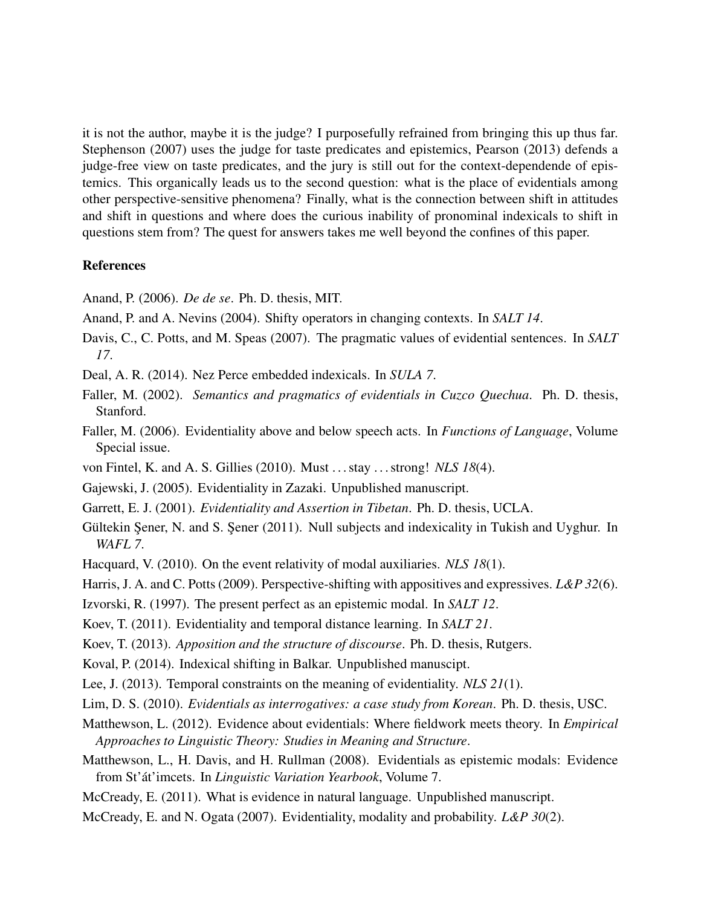it is not the author, maybe it is the judge? I purposefully refrained from bringing this up thus far. Stephenson (2007) uses the judge for taste predicates and epistemics, Pearson (2013) defends a judge-free view on taste predicates, and the jury is still out for the context-dependende of epistemics. This organically leads us to the second question: what is the place of evidentials among other perspective-sensitive phenomena? Finally, what is the connection between shift in attitudes and shift in questions and where does the curious inability of pronominal indexicals to shift in questions stem from? The quest for answers takes me well beyond the confines of this paper.

#### References

Anand, P. (2006). *De de se*. Ph. D. thesis, MIT.

Anand, P. and A. Nevins (2004). Shifty operators in changing contexts. In *SALT 14*.

- Davis, C., C. Potts, and M. Speas (2007). The pragmatic values of evidential sentences. In *SALT 17*.
- Deal, A. R. (2014). Nez Perce embedded indexicals. In *SULA 7*.
- Faller, M. (2002). *Semantics and pragmatics of evidentials in Cuzco Quechua*. Ph. D. thesis, Stanford.
- Faller, M. (2006). Evidentiality above and below speech acts. In *Functions of Language*, Volume Special issue.
- von Fintel, K. and A. S. Gillies (2010). Must . . . stay . . . strong! *NLS 18*(4).
- Gajewski, J. (2005). Evidentiality in Zazaki. Unpublished manuscript.
- Garrett, E. J. (2001). *Evidentiality and Assertion in Tibetan*. Ph. D. thesis, UCLA.
- Gültekin Şener, N. and S. Şener (2011). Null subjects and indexicality in Tukish and Uyghur. In *WAFL 7*.
- Hacquard, V. (2010). On the event relativity of modal auxiliaries. *NLS 18*(1).

Harris, J. A. and C. Potts (2009). Perspective-shifting with appositives and expressives. *L&P 32*(6).

- Izvorski, R. (1997). The present perfect as an epistemic modal. In *SALT 12*.
- Koev, T. (2011). Evidentiality and temporal distance learning. In *SALT 21*.

Koev, T. (2013). *Apposition and the structure of discourse*. Ph. D. thesis, Rutgers.

- Koval, P. (2014). Indexical shifting in Balkar. Unpublished manuscipt.
- Lee, J. (2013). Temporal constraints on the meaning of evidentiality. *NLS 21*(1).
- Lim, D. S. (2010). *Evidentials as interrogatives: a case study from Korean*. Ph. D. thesis, USC.
- Matthewson, L. (2012). Evidence about evidentials: Where fieldwork meets theory. In *Empirical Approaches to Linguistic Theory: Studies in Meaning and Structure*.
- Matthewson, L., H. Davis, and H. Rullman (2008). Evidentials as epistemic modals: Evidence from St'át'imcets. In *Linguistic Variation Yearbook*, Volume 7.
- McCready, E. (2011). What is evidence in natural language. Unpublished manuscript.

McCready, E. and N. Ogata (2007). Evidentiality, modality and probability. *L&P 30*(2).